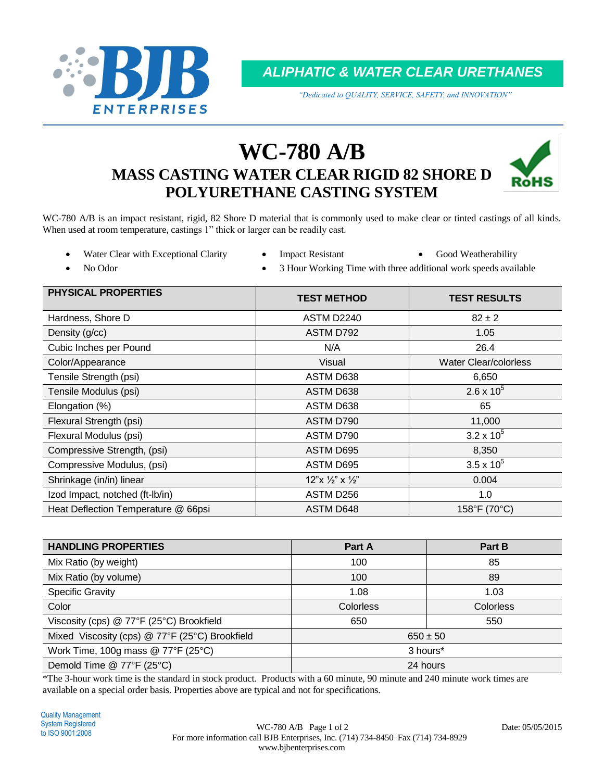

*ALIPHATIC & WATER CLEAR URETHANES*

*"Dedicated to QUALITY, SERVICE, SAFETY, and INNOVATION"*

# **WC-780 A/B MASS CASTING WATER CLEAR RIGID 82 SHORE D POLYURETHANE CASTING SYSTEM**



WC-780 A/B is an impact resistant, rigid, 82 Shore D material that is commonly used to make clear or tinted castings of all kinds. When used at room temperature, castings 1" thick or larger can be readily cast.

- Water Clear with Exceptional Clarity Impact Resistant Good Weatherability
- 
- 

- 
- No Odor **3** Hour Working Time with three additional work speeds available

| <b>PHYSICAL PROPERTIES</b>          | <b>TEST METHOD</b>                | <b>TEST RESULTS</b>   |
|-------------------------------------|-----------------------------------|-----------------------|
| Hardness, Shore D                   | ASTM D2240                        | $82 \pm 2$            |
| Density (g/cc)                      | ASTM D792                         | 1.05                  |
| Cubic Inches per Pound              | N/A                               | 26.4                  |
| Color/Appearance                    | Visual                            | Water Clear/colorless |
| Tensile Strength (psi)              | ASTM D638                         | 6,650                 |
| Tensile Modulus (psi)               | <b>ASTM D638</b>                  | $2.6 \times 10^{5}$   |
| Elongation (%)                      | ASTM D638                         | 65                    |
| Flexural Strength (psi)             | ASTM D790                         | 11,000                |
| Flexural Modulus (psi)              | ASTM D790                         | $3.2 \times 10^{5}$   |
| Compressive Strength, (psi)         | ASTM D695                         | 8,350                 |
| Compressive Modulus, (psi)          | ASTM D695                         | $3.5 \times 10^{5}$   |
| Shrinkage (in/in) linear            | $12"x \frac{1}{2}"x \frac{1}{2}"$ | 0.004                 |
| Izod Impact, notched (ft-Ib/in)     | ASTM D256                         | 1.0                   |
| Heat Deflection Temperature @ 66psi | <b>ASTM D648</b>                  | 158°F (70°C)          |

| <b>HANDLING PROPERTIES</b>                     | Part A           | Part B           |  |
|------------------------------------------------|------------------|------------------|--|
| Mix Ratio (by weight)                          | 100              | 85               |  |
| Mix Ratio (by volume)                          | 100              | 89               |  |
| <b>Specific Gravity</b>                        | 1.08             | 1.03             |  |
| Color                                          | <b>Colorless</b> | <b>Colorless</b> |  |
| Viscosity (cps) @ 77°F (25°C) Brookfield       | 650              | 550              |  |
| Mixed Viscosity (cps) @ 77°F (25°C) Brookfield | $650 \pm 50$     |                  |  |
| Work Time, 100g mass $@$ 77°F (25°C)           | 3 hours*         |                  |  |
| Demold Time @ 77°F (25°C)                      | 24 hours         |                  |  |

\*The 3-hour work time is the standard in stock product. Products with a 60 minute, 90 minute and 240 minute work times are available on a special order basis. Properties above are typical and not for specifications.